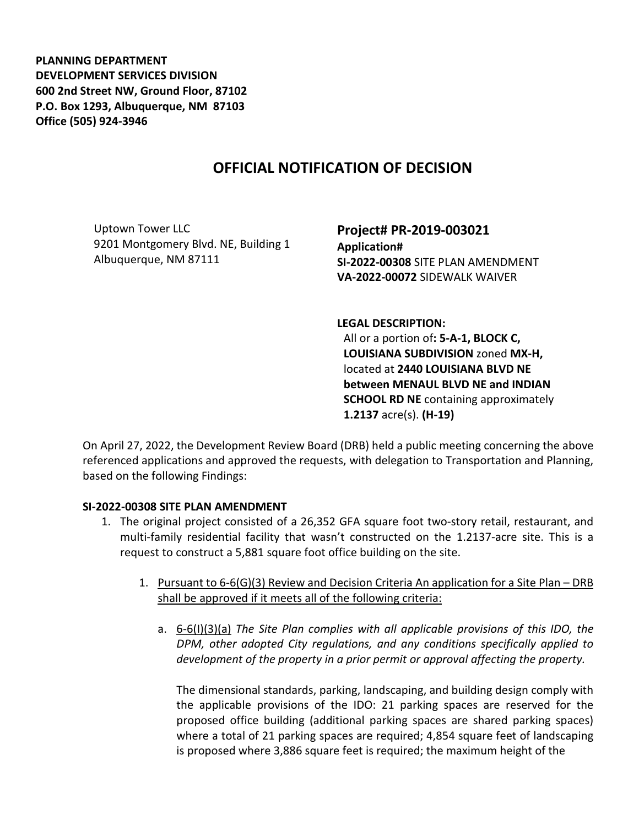**PLANNING DEPARTMENT DEVELOPMENT SERVICES DIVISION 600 2nd Street NW, Ground Floor, 87102 P.O. Box 1293, Albuquerque, NM 87103 Office (505) 924-3946** 

## **OFFICIAL NOTIFICATION OF DECISION**

Uptown Tower LLC 9201 Montgomery Blvd. NE, Building 1 Albuquerque, NM 87111

**Project# PR-2019-003021 Application# SI-2022-00308** SITE PLAN AMENDMENT **VA-2022-00072** SIDEWALK WAIVER

**LEGAL DESCRIPTION:**

All or a portion of**: 5-A-1, BLOCK C, LOUISIANA SUBDIVISION** zoned **MX-H,**  located at **2440 LOUISIANA BLVD NE between MENAUL BLVD NE and INDIAN SCHOOL RD NE** containing approximately **1.2137** acre(s). **(H-19)**

On April 27, 2022, the Development Review Board (DRB) held a public meeting concerning the above referenced applications and approved the requests, with delegation to Transportation and Planning, based on the following Findings:

## **SI-2022-00308 SITE PLAN AMENDMENT**

- 1. The original project consisted of a 26,352 GFA square foot two-story retail, restaurant, and multi-family residential facility that wasn't constructed on the 1.2137-acre site. This is a request to construct a 5,881 square foot office building on the site.
	- 1. Pursuant to 6-6(G)(3) Review and Decision Criteria An application for a Site Plan DRB shall be approved if it meets all of the following criteria:
		- a. 6-6(I)(3)(a) *The Site Plan complies with all applicable provisions of this IDO, the DPM, other adopted City regulations, and any conditions specifically applied to development of the property in a prior permit or approval affecting the property.*

The dimensional standards, parking, landscaping, and building design comply with the applicable provisions of the IDO: 21 parking spaces are reserved for the proposed office building (additional parking spaces are shared parking spaces) where a total of 21 parking spaces are required; 4,854 square feet of landscaping is proposed where 3,886 square feet is required; the maximum height of the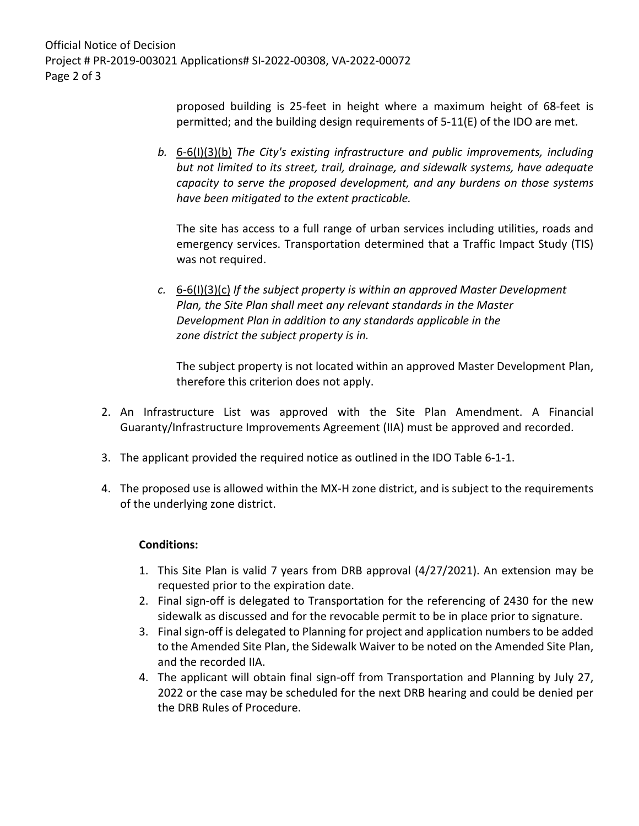Official Notice of Decision Project # PR-2019-003021 Applications# SI-2022-00308, VA-2022-00072 Page 2 of 3

> proposed building is 25-feet in height where a maximum height of 68-feet is permitted; and the building design requirements of 5-11(E) of the IDO are met.

*b.* 6-6(I)(3)(b) *The City's existing infrastructure and public improvements, including but not limited to its street, trail, drainage, and sidewalk systems, have adequate capacity to serve the proposed development, and any burdens on those systems have been mitigated to the extent practicable.* 

The site has access to a full range of urban services including utilities, roads and emergency services. Transportation determined that a Traffic Impact Study (TIS) was not required.

*c.* 6-6(I)(3)(c) *If the subject property is within an approved Master Development Plan, the Site Plan shall meet any relevant standards in the Master Development Plan in addition to any standards applicable in the zone district the subject property is in.*

The subject property is not located within an approved Master Development Plan, therefore this criterion does not apply.

- 2. An Infrastructure List was approved with the Site Plan Amendment. A Financial Guaranty/Infrastructure Improvements Agreement (IIA) must be approved and recorded.
- 3. The applicant provided the required notice as outlined in the IDO Table 6-1-1.
- 4. The proposed use is allowed within the MX-H zone district, and is subject to the requirements of the underlying zone district.

## **Conditions:**

- 1. This Site Plan is valid 7 years from DRB approval (4/27/2021). An extension may be requested prior to the expiration date.
- 2. Final sign-off is delegated to Transportation for the referencing of 2430 for the new sidewalk as discussed and for the revocable permit to be in place prior to signature.
- 3. Final sign-off is delegated to Planning for project and application numbers to be added to the Amended Site Plan, the Sidewalk Waiver to be noted on the Amended Site Plan, and the recorded IIA.
- 4. The applicant will obtain final sign-off from Transportation and Planning by July 27, 2022 or the case may be scheduled for the next DRB hearing and could be denied per the DRB Rules of Procedure.